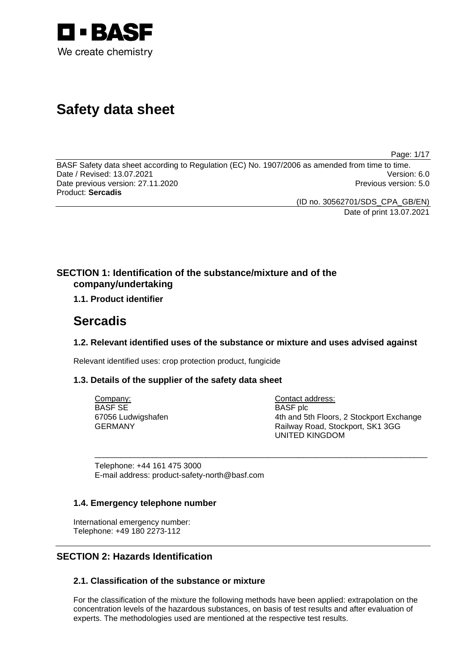

# **Safety data sheet**

Page: 1/17

BASF Safety data sheet according to Regulation (EC) No. 1907/2006 as amended from time to time. Date / Revised: 13.07.2021 Version: 6.0 Date previous version: 27.11.2020 **Previous version: 5.0** Previous version: 5.0 Product: **Sercadis** 

(ID no. 30562701/SDS\_CPA\_GB/EN)

Date of print 13.07.2021

# **SECTION 1: Identification of the substance/mixture and of the company/undertaking**

# **1.1. Product identifier**

# **Sercadis**

# **1.2. Relevant identified uses of the substance or mixture and uses advised against**

\_\_\_\_\_\_\_\_\_\_\_\_\_\_\_\_\_\_\_\_\_\_\_\_\_\_\_\_\_\_\_\_\_\_\_\_\_\_\_\_\_\_\_\_\_\_\_\_\_\_\_\_\_\_\_\_\_\_\_\_\_\_\_\_\_\_\_\_\_\_\_\_\_\_\_

Relevant identified uses: crop protection product, fungicide

# **1.3. Details of the supplier of the safety data sheet**

Company: BASF SE 67056 Ludwigshafen GERMANY

Contact address: BASF plc 4th and 5th Floors, 2 Stockport Exchange Railway Road, Stockport, SK1 3GG UNITED KINGDOM

Telephone: +44 161 475 3000 E-mail address: product-safety-north@basf.com

# **1.4. Emergency telephone number**

International emergency number: Telephone: +49 180 2273-112

# **SECTION 2: Hazards Identification**

# **2.1. Classification of the substance or mixture**

For the classification of the mixture the following methods have been applied: extrapolation on the concentration levels of the hazardous substances, on basis of test results and after evaluation of experts. The methodologies used are mentioned at the respective test results.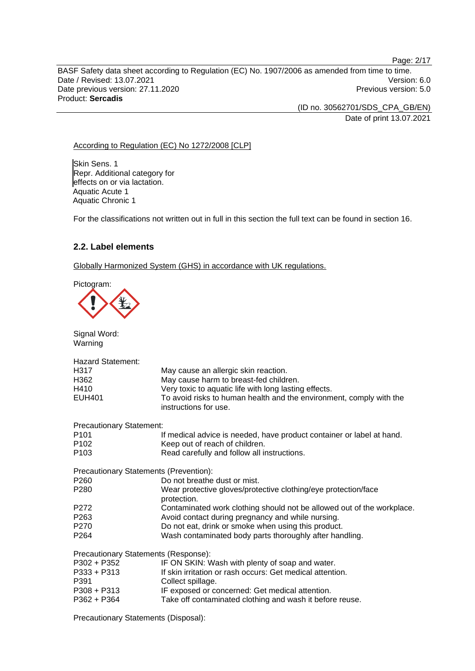BASF Safety data sheet according to Regulation (EC) No. 1907/2006 as amended from time to time. Date / Revised: 13.07.2021 Version: 6.0 Date previous version: 27.11.2020 **Previous version: 5.0** Previous version: 5.0 Product: **Sercadis** 

> (ID no. 30562701/SDS\_CPA\_GB/EN) Date of print 13.07.2021

Page: 2/17

### According to Regulation (EC) No 1272/2008 [CLP]

Skin Sens. 1 Repr. Additional category for effects on or via lactation. Aquatic Acute 1 Aquatic Chronic 1

For the classifications not written out in full in this section the full text can be found in section 16.

### **2.2. Label elements**

Globally Harmonized System (GHS) in accordance with UK regulations.

Pictogram:

Signal Word:



| Warning                                |                                                                                              |
|----------------------------------------|----------------------------------------------------------------------------------------------|
| <b>Hazard Statement:</b>               |                                                                                              |
| H317                                   | May cause an allergic skin reaction.                                                         |
| H362                                   | May cause harm to breast-fed children.                                                       |
| H410                                   | Very toxic to aquatic life with long lasting effects.                                        |
| <b>EUH401</b>                          | To avoid risks to human health and the environment, comply with the<br>instructions for use. |
| <b>Precautionary Statement:</b>        |                                                                                              |
| P <sub>101</sub>                       | If medical advice is needed, have product container or label at hand.                        |
| P <sub>102</sub>                       | Keep out of reach of children.                                                               |
| P <sub>103</sub>                       | Read carefully and follow all instructions.                                                  |
| Precautionary Statements (Prevention): |                                                                                              |
| P <sub>260</sub>                       | Do not breathe dust or mist.                                                                 |
| P <sub>280</sub>                       | Wear protective gloves/protective clothing/eye protection/face<br>protection.                |
| P272                                   | Contaminated work clothing should not be allowed out of the workplace.                       |
| P263                                   | Avoid contact during pregnancy and while nursing.                                            |
| P <sub>270</sub>                       | Do not eat, drink or smoke when using this product.                                          |
| P <sub>264</sub>                       | Wash contaminated body parts thoroughly after handling.                                      |
| Precautionary Statements (Response):   |                                                                                              |
| P302 + P352                            | IF ON SKIN: Wash with plenty of soap and water.                                              |
| $P333 + P313$                          | If skin irritation or rash occurs: Get medical attention.                                    |
| P391                                   | Collect spillage.                                                                            |
| $P308 + P313$                          | IF exposed or concerned: Get medical attention.                                              |
| $P362 + P364$                          | Take off contaminated clothing and wash it before reuse.                                     |
|                                        |                                                                                              |

Precautionary Statements (Disposal):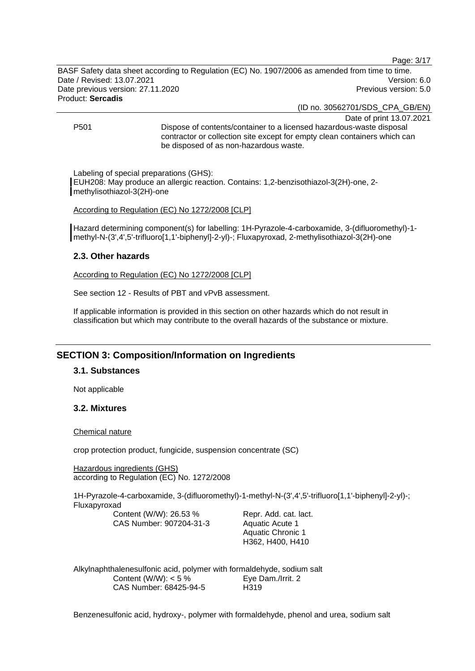Page: 3/17

BASF Safety data sheet according to Regulation (EC) No. 1907/2006 as amended from time to time. Date / Revised: 13.07.2021 Version: 6.0 Date previous version: 27.11.2020 **Previous version: 5.0** Previous version: 5.0 Product: **Sercadis** 

(ID no. 30562701/SDS\_CPA\_GB/EN)

Date of print 13.07.2021

P501 Dispose of contents/container to a licensed hazardous-waste disposal contractor or collection site except for empty clean containers which can be disposed of as non-hazardous waste.

Labeling of special preparations (GHS):

EUH208: May produce an allergic reaction. Contains: 1,2-benzisothiazol-3(2H)-one, 2 methylisothiazol-3(2H)-one

According to Regulation (EC) No 1272/2008 [CLP]

Hazard determining component(s) for labelling: 1H-Pyrazole-4-carboxamide, 3-(difluoromethyl)-1 methyl-N-(3',4',5'-trifluoro[1,1'-biphenyl]-2-yl)-; Fluxapyroxad, 2-methylisothiazol-3(2H)-one

# **2.3. Other hazards**

According to Regulation (EC) No 1272/2008 [CLP]

See section 12 - Results of PBT and vPvB assessment.

If applicable information is provided in this section on other hazards which do not result in classification but which may contribute to the overall hazards of the substance or mixture.

# **SECTION 3: Composition/Information on Ingredients**

# **3.1. Substances**

Not applicable

# **3.2. Mixtures**

Chemical nature

crop protection product, fungicide, suspension concentrate (SC)

Hazardous ingredients (GHS) according to Regulation (EC) No. 1272/2008

1H-Pyrazole-4-carboxamide, 3-(difluoromethyl)-1-methyl-N-(3',4',5'-trifluoro[1,1'-biphenyl]-2-yl)-; Fluxapyroxad

Content (W/W): 26.53 % CAS Number: 907204-31-3

Repr. Add. cat. lact. Aquatic Acute 1 Aquatic Chronic 1 H362, H400, H410

Alkylnaphthalenesulfonic acid, polymer with formaldehyde, sodium salt Content (W/W):  $< 5 \%$ CAS Number: 68425-94-5 Eye Dam./Irrit. 2 H319

Benzenesulfonic acid, hydroxy-, polymer with formaldehyde, phenol and urea, sodium salt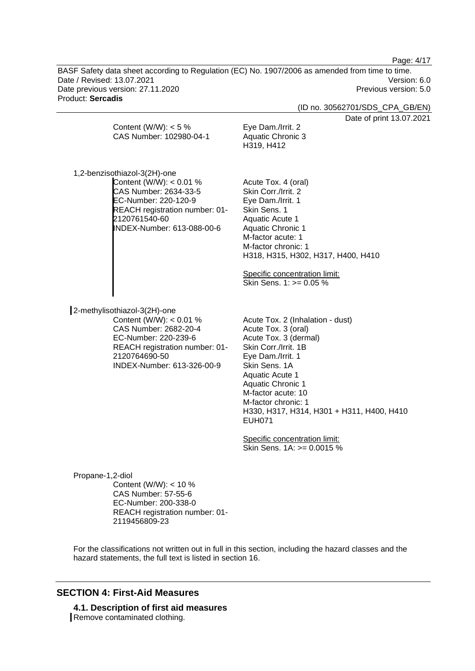Page: 4/17

BASF Safety data sheet according to Regulation (EC) No. 1907/2006 as amended from time to time. Date / Revised: 13.07.2021 Version: 6.0 Date previous version: 27.11.2020 **Previous version: 5.0** Previous version: 5.0 Product: **Sercadis** 

(ID no. 30562701/SDS\_CPA\_GB/EN)

Date of print 13.07.2021

|                                                                                                                                                                                             | Date of print 13.07                                                                                                                                                                                                                                                                                                                                                     |
|---------------------------------------------------------------------------------------------------------------------------------------------------------------------------------------------|-------------------------------------------------------------------------------------------------------------------------------------------------------------------------------------------------------------------------------------------------------------------------------------------------------------------------------------------------------------------------|
| Content (W/W): $<$ 5 %<br>CAS Number: 102980-04-1                                                                                                                                           | Eye Dam./Irrit. 2<br><b>Aquatic Chronic 3</b><br>H319, H412                                                                                                                                                                                                                                                                                                             |
| 1,2-benzisothiazol-3(2H)-one<br>Content (W/W): < 0.01 %<br>CAS Number: 2634-33-5<br>EC-Number: 220-120-9<br>REACH registration number: 01-<br>2120761540-60<br>INDEX-Number: 613-088-00-6   | Acute Tox. 4 (oral)<br>Skin Corr./Irrit. 2<br>Eye Dam./Irrit. 1<br>Skin Sens. 1<br>Aquatic Acute 1<br><b>Aquatic Chronic 1</b><br>M-factor acute: 1<br>M-factor chronic: 1<br>H318, H315, H302, H317, H400, H410<br>Specific concentration limit:<br>Skin Sens. 1: >= 0.05 %                                                                                            |
| 2-methylisothiazol-3(2H)-one<br>Content (W/W): $< 0.01$ %<br>CAS Number: 2682-20-4<br>EC-Number: 220-239-6<br>REACH registration number: 01-<br>2120764690-50<br>INDEX-Number: 613-326-00-9 | Acute Tox. 2 (Inhalation - dust)<br>Acute Tox. 3 (oral)<br>Acute Tox. 3 (dermal)<br>Skin Corr./Irrit. 1B<br>Eye Dam./Irrit. 1<br>Skin Sens. 1A<br>Aquatic Acute 1<br><b>Aquatic Chronic 1</b><br>M-factor acute: 10<br>M-factor chronic: 1<br>H330, H317, H314, H301 + H311, H400, H410<br><b>EUH071</b><br>Specific concentration limit:<br>Skin Sens. 1A: >= 0.0015 % |
| Propane-1,2-diol<br>Content (W/W): $<$ 10 %                                                                                                                                                 |                                                                                                                                                                                                                                                                                                                                                                         |
|                                                                                                                                                                                             |                                                                                                                                                                                                                                                                                                                                                                         |

CAS Number: 57-55-6 EC-Number: 200-338-0 REACH registration number: 01- 2119456809-23

For the classifications not written out in full in this section, including the hazard classes and the hazard statements, the full text is listed in section 16.

# **SECTION 4: First-Aid Measures**

**4.1. Description of first aid measures**  Remove contaminated clothing.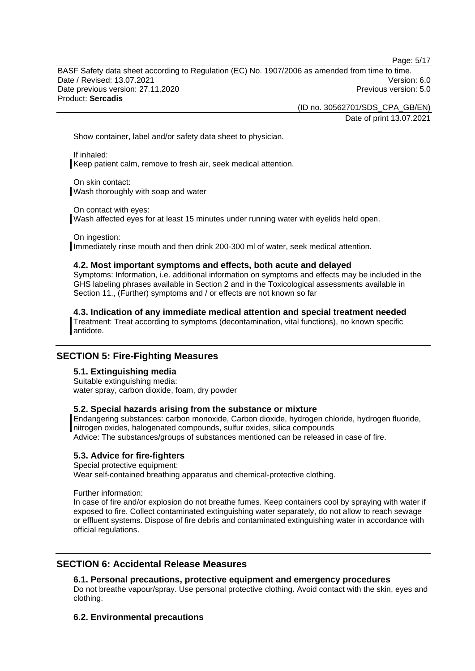Page: 5/17

BASF Safety data sheet according to Regulation (EC) No. 1907/2006 as amended from time to time. Date / Revised: 13.07.2021 Version: 6.0 Date previous version: 27.11.2020 **Previous version: 5.0** Previous version: 5.0 Product: **Sercadis** 

(ID no. 30562701/SDS\_CPA\_GB/EN)

Date of print 13.07.2021

Show container, label and/or safety data sheet to physician.

If inhaled: Keep patient calm, remove to fresh air, seek medical attention.

On skin contact: Wash thoroughly with soap and water

On contact with eyes:

Wash affected eyes for at least 15 minutes under running water with eyelids held open.

On ingestion: Immediately rinse mouth and then drink 200-300 ml of water, seek medical attention.

### **4.2. Most important symptoms and effects, both acute and delayed**

Symptoms: Information, i.e. additional information on symptoms and effects may be included in the GHS labeling phrases available in Section 2 and in the Toxicological assessments available in Section 11., (Further) symptoms and / or effects are not known so far

**4.3. Indication of any immediate medical attention and special treatment needed** 

Treatment: Treat according to symptoms (decontamination, vital functions), no known specific antidote.

# **SECTION 5: Fire-Fighting Measures**

# **5.1. Extinguishing media**

Suitable extinguishing media: water spray, carbon dioxide, foam, dry powder

# **5.2. Special hazards arising from the substance or mixture**

Endangering substances: carbon monoxide, Carbon dioxide, hydrogen chloride, hydrogen fluoride, nitrogen oxides, halogenated compounds, sulfur oxides, silica compounds Advice: The substances/groups of substances mentioned can be released in case of fire.

# **5.3. Advice for fire-fighters**

Special protective equipment:

Wear self-contained breathing apparatus and chemical-protective clothing.

Further information:

In case of fire and/or explosion do not breathe fumes. Keep containers cool by spraying with water if exposed to fire. Collect contaminated extinguishing water separately, do not allow to reach sewage or effluent systems. Dispose of fire debris and contaminated extinguishing water in accordance with official regulations.

# **SECTION 6: Accidental Release Measures**

# **6.1. Personal precautions, protective equipment and emergency procedures**

Do not breathe vapour/spray. Use personal protective clothing. Avoid contact with the skin, eyes and clothing.

# **6.2. Environmental precautions**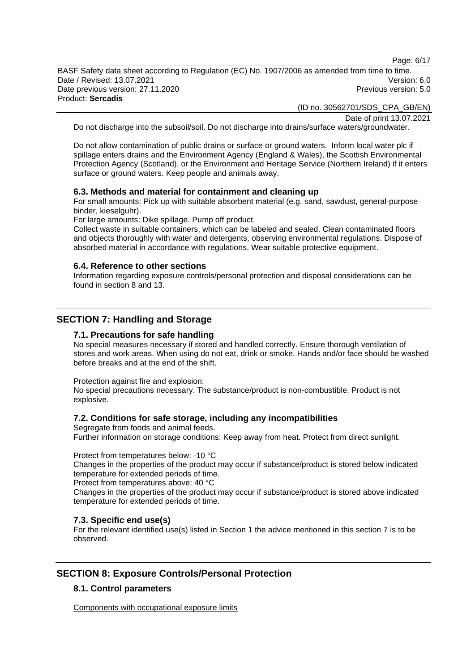Page: 6/17

BASF Safety data sheet according to Regulation (EC) No. 1907/2006 as amended from time to time. Date / Revised: 13.07.2021 Version: 6.0 Date previous version: 27.11.2020 **Previous version: 5.0** Previous version: 5.0 Product: **Sercadis** 

(ID no. 30562701/SDS\_CPA\_GB/EN)

Date of print 13.07.2021

Do not discharge into the subsoil/soil. Do not discharge into drains/surface waters/groundwater.

Do not allow contamination of public drains or surface or ground waters. Inform local water plc if spillage enters drains and the Environment Agency (England & Wales), the Scottish Environmental Protection Agency (Scotland), or the Environment and Heritage Service (Northern Ireland) if it enters surface or ground waters. Keep people and animals away.

### **6.3. Methods and material for containment and cleaning up**

For small amounts: Pick up with suitable absorbent material (e.g. sand, sawdust, general-purpose binder, kieselguhr).

For large amounts: Dike spillage. Pump off product.

Collect waste in suitable containers, which can be labeled and sealed. Clean contaminated floors and objects thoroughly with water and detergents, observing environmental regulations. Dispose of absorbed material in accordance with regulations. Wear suitable protective equipment.

### **6.4. Reference to other sections**

Information regarding exposure controls/personal protection and disposal considerations can be found in section 8 and 13.

# **SECTION 7: Handling and Storage**

# **7.1. Precautions for safe handling**

No special measures necessary if stored and handled correctly. Ensure thorough ventilation of stores and work areas. When using do not eat, drink or smoke. Hands and/or face should be washed before breaks and at the end of the shift.

Protection against fire and explosion:

No special precautions necessary. The substance/product is non-combustible. Product is not explosive.

# **7.2. Conditions for safe storage, including any incompatibilities**

Segregate from foods and animal feeds. Further information on storage conditions: Keep away from heat. Protect from direct sunlight.

Protect from temperatures below: -10 °C

Changes in the properties of the product may occur if substance/product is stored below indicated temperature for extended periods of time.

Protect from temperatures above: 40 °C

Changes in the properties of the product may occur if substance/product is stored above indicated temperature for extended periods of time.

### **7.3. Specific end use(s)**

For the relevant identified use(s) listed in Section 1 the advice mentioned in this section 7 is to be observed.

# **SECTION 8: Exposure Controls/Personal Protection**

# **8.1. Control parameters**

Components with occupational exposure limits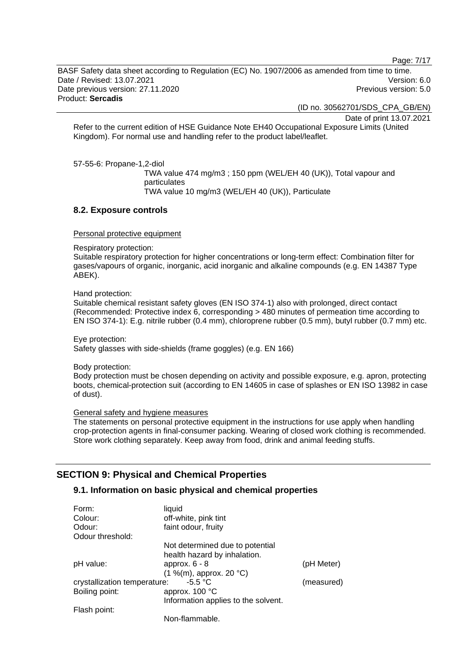Page: 7/17

BASF Safety data sheet according to Regulation (EC) No. 1907/2006 as amended from time to time. Date / Revised: 13.07.2021 Version: 6.0 Date previous version: 27.11.2020 **Previous version: 5.0** Previous version: 5.0 Product: **Sercadis** 

(ID no. 30562701/SDS\_CPA\_GB/EN)

Date of print 13.07.2021

Refer to the current edition of HSE Guidance Note EH40 Occupational Exposure Limits (United Kingdom). For normal use and handling refer to the product label/leaflet.

57-55-6: Propane-1,2-diol

TWA value 474 mg/m3 ; 150 ppm (WEL/EH 40 (UK)), Total vapour and particulates TWA value 10 mg/m3 (WEL/EH 40 (UK)), Particulate

### **8.2. Exposure controls**

Personal protective equipment

Respiratory protection:

Suitable respiratory protection for higher concentrations or long-term effect: Combination filter for gases/vapours of organic, inorganic, acid inorganic and alkaline compounds (e.g. EN 14387 Type ABEK).

Hand protection:

Suitable chemical resistant safety gloves (EN ISO 374-1) also with prolonged, direct contact (Recommended: Protective index 6, corresponding > 480 minutes of permeation time according to EN ISO 374-1): E.g. nitrile rubber (0.4 mm), chloroprene rubber (0.5 mm), butyl rubber (0.7 mm) etc.

Eye protection: Safety glasses with side-shields (frame goggles) (e.g. EN 166)

Body protection:

Body protection must be chosen depending on activity and possible exposure, e.g. apron, protecting boots, chemical-protection suit (according to EN 14605 in case of splashes or EN ISO 13982 in case of dust).

General safety and hygiene measures

The statements on personal protective equipment in the instructions for use apply when handling crop-protection agents in final-consumer packing. Wearing of closed work clothing is recommended. Store work clothing separately. Keep away from food, drink and animal feeding stuffs.

# **SECTION 9: Physical and Chemical Properties**

# **9.1. Information on basic physical and chemical properties**

| Form:<br>Colour:                          | liquid<br>off-white, pink tint      |            |
|-------------------------------------------|-------------------------------------|------------|
| Odour:                                    | faint odour, fruity                 |            |
| Odour threshold:                          |                                     |            |
|                                           | Not determined due to potential     |            |
|                                           | health hazard by inhalation.        |            |
| pH value:                                 | approx. $6 - 8$                     | (pH Meter) |
|                                           | $(1\%$ (m), approx. 20 °C)          |            |
| $-5.5 °C$<br>crystallization temperature: |                                     | (measured) |
| Boiling point:                            | approx. 100 °C                      |            |
|                                           | Information applies to the solvent. |            |
| Flash point:                              |                                     |            |
|                                           | Non-flammable.                      |            |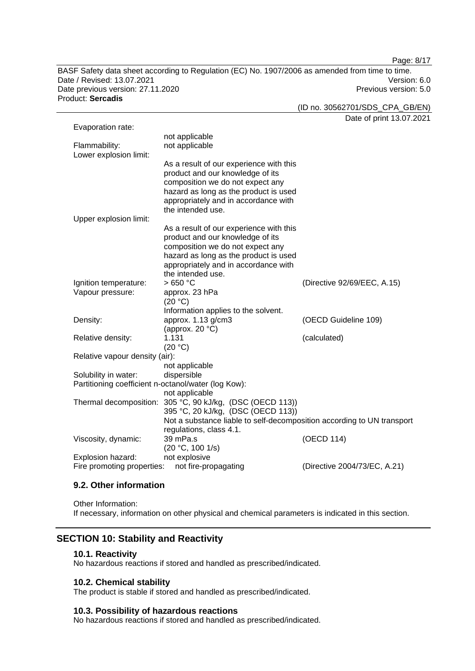Page: 8/17

BASF Safety data sheet according to Regulation (EC) No. 1907/2006 as amended from time to time. Date / Revised: 13.07.2021 Version: 6.0 Date previous version: 27.11.2020 **Previous version: 5.0** Previous version: 5.0 Product: **Sercadis** 

(ID no. 30562701/SDS\_CPA\_GB/EN)

Date of print 13.07.2021

| Evaporation rate:                                   |                                                                        |                              |
|-----------------------------------------------------|------------------------------------------------------------------------|------------------------------|
|                                                     | not applicable                                                         |                              |
| Flammability:                                       | not applicable                                                         |                              |
| Lower explosion limit:                              |                                                                        |                              |
|                                                     | As a result of our experience with this                                |                              |
|                                                     | product and our knowledge of its                                       |                              |
|                                                     | composition we do not expect any                                       |                              |
|                                                     | hazard as long as the product is used                                  |                              |
|                                                     | appropriately and in accordance with                                   |                              |
|                                                     | the intended use.                                                      |                              |
| Upper explosion limit:                              |                                                                        |                              |
|                                                     | As a result of our experience with this                                |                              |
|                                                     | product and our knowledge of its                                       |                              |
|                                                     | composition we do not expect any                                       |                              |
|                                                     | hazard as long as the product is used                                  |                              |
|                                                     | appropriately and in accordance with                                   |                              |
|                                                     | the intended use.                                                      |                              |
| Ignition temperature:                               | >650 °C                                                                | (Directive 92/69/EEC, A.15)  |
| Vapour pressure:                                    | approx. 23 hPa                                                         |                              |
|                                                     | (20 °C)                                                                |                              |
|                                                     | Information applies to the solvent.                                    |                              |
| Density:                                            | approx. 1.13 g/cm3                                                     | (OECD Guideline 109)         |
|                                                     | (approx. 20 °C)                                                        |                              |
| Relative density:                                   | 1.131                                                                  | (calculated)                 |
|                                                     | (20 °C)                                                                |                              |
| Relative vapour density (air):                      |                                                                        |                              |
|                                                     | not applicable                                                         |                              |
| Solubility in water:                                | dispersible                                                            |                              |
| Partitioning coefficient n-octanol/water (log Kow): |                                                                        |                              |
|                                                     | not applicable                                                         |                              |
|                                                     | Thermal decomposition: 305 °C, 90 kJ/kg, (DSC (OECD 113))              |                              |
|                                                     | 395 °C, 20 kJ/kg, (DSC (OECD 113))                                     |                              |
|                                                     | Not a substance liable to self-decomposition according to UN transport |                              |
|                                                     | regulations, class 4.1.                                                |                              |
| Viscosity, dynamic:                                 | 39 mPa.s                                                               | (OECD 114)                   |
|                                                     | (20 °C, 100 1/s)                                                       |                              |
| Explosion hazard:                                   | not explosive                                                          |                              |
| Fire promoting properties:                          | not fire-propagating                                                   | (Directive 2004/73/EC, A.21) |

### **9.2. Other information**

Other Information: If necessary, information on other physical and chemical parameters is indicated in this section.

# **SECTION 10: Stability and Reactivity**

#### **10.1. Reactivity**

No hazardous reactions if stored and handled as prescribed/indicated.

# **10.2. Chemical stability**

The product is stable if stored and handled as prescribed/indicated.

# **10.3. Possibility of hazardous reactions**

No hazardous reactions if stored and handled as prescribed/indicated.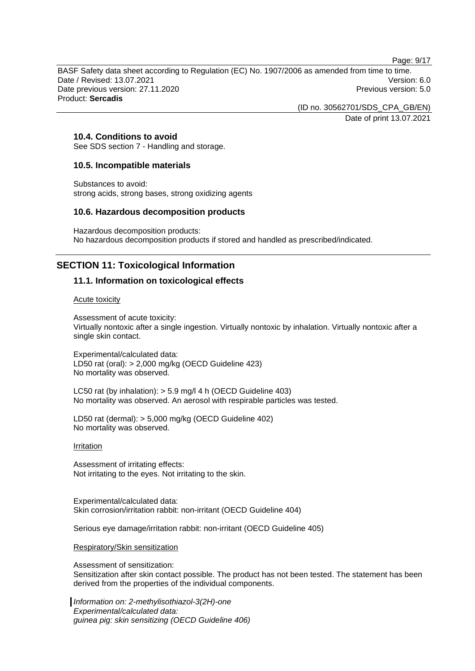Page: 9/17

BASF Safety data sheet according to Regulation (EC) No. 1907/2006 as amended from time to time. Date / Revised: 13.07.2021 Version: 6.0 Date previous version: 27.11.2020 **Previous version: 5.0** Previous version: 5.0 Product: **Sercadis** 

> (ID no. 30562701/SDS\_CPA\_GB/EN) Date of print 13.07.2021

# **10.4. Conditions to avoid**

See SDS section 7 - Handling and storage.

#### **10.5. Incompatible materials**

Substances to avoid: strong acids, strong bases, strong oxidizing agents

#### **10.6. Hazardous decomposition products**

Hazardous decomposition products: No hazardous decomposition products if stored and handled as prescribed/indicated.

# **SECTION 11: Toxicological Information**

#### **11.1. Information on toxicological effects**

#### Acute toxicity

Assessment of acute toxicity: Virtually nontoxic after a single ingestion. Virtually nontoxic by inhalation. Virtually nontoxic after a single skin contact.

Experimental/calculated data: LD50 rat (oral): > 2,000 mg/kg (OECD Guideline 423) No mortality was observed.

LC50 rat (by inhalation): > 5.9 mg/l 4 h (OECD Guideline 403) No mortality was observed. An aerosol with respirable particles was tested.

LD50 rat (dermal): > 5,000 mg/kg (OECD Guideline 402) No mortality was observed.

#### Irritation

Assessment of irritating effects: Not irritating to the eyes. Not irritating to the skin.

Experimental/calculated data: Skin corrosion/irritation rabbit: non-irritant (OECD Guideline 404)

Serious eye damage/irritation rabbit: non-irritant (OECD Guideline 405)

Respiratory/Skin sensitization

Assessment of sensitization: Sensitization after skin contact possible. The product has not been tested. The statement has been derived from the properties of the individual components.

*Information on: 2-methylisothiazol-3(2H)-one Experimental/calculated data: guinea pig: skin sensitizing (OECD Guideline 406)*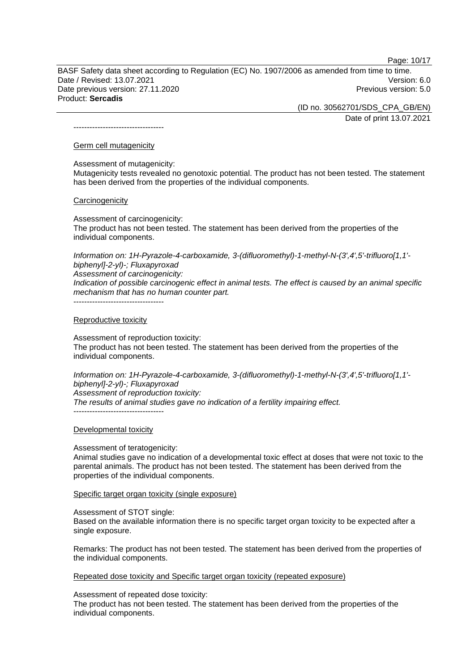Page: 10/17

BASF Safety data sheet according to Regulation (EC) No. 1907/2006 as amended from time to time. Date / Revised: 13.07.2021 Version: 6.0 Date previous version: 27.11.2020 **Previous version: 5.0** Previous version: 5.0 Product: **Sercadis** 

> (ID no. 30562701/SDS\_CPA\_GB/EN) Date of print 13.07.2021

----------------------------------

### Germ cell mutagenicity

Assessment of mutagenicity:

Mutagenicity tests revealed no genotoxic potential. The product has not been tested. The statement has been derived from the properties of the individual components.

#### **Carcinogenicity**

Assessment of carcinogenicity:

The product has not been tested. The statement has been derived from the properties of the individual components.

*Information on: 1H-Pyrazole-4-carboxamide, 3-(difluoromethyl)-1-methyl-N-(3',4',5'-trifluoro[1,1' biphenyl]-2-yl)-; Fluxapyroxad Assessment of carcinogenicity:* 

*Indication of possible carcinogenic effect in animal tests. The effect is caused by an animal specific mechanism that has no human counter part.* 

----------------------------------

#### Reproductive toxicity

Assessment of reproduction toxicity: The product has not been tested. The statement has been derived from the properties of the individual components.

*Information on: 1H-Pyrazole-4-carboxamide, 3-(difluoromethyl)-1-methyl-N-(3',4',5'-trifluoro[1,1' biphenyl]-2-yl)-; Fluxapyroxad Assessment of reproduction toxicity: The results of animal studies gave no indication of a fertility impairing effect.*  ----------------------------------

#### Developmental toxicity

#### Assessment of teratogenicity:

Animal studies gave no indication of a developmental toxic effect at doses that were not toxic to the parental animals. The product has not been tested. The statement has been derived from the properties of the individual components.

#### Specific target organ toxicity (single exposure)

#### Assessment of STOT single:

Based on the available information there is no specific target organ toxicity to be expected after a single exposure.

Remarks: The product has not been tested. The statement has been derived from the properties of the individual components.

Repeated dose toxicity and Specific target organ toxicity (repeated exposure)

Assessment of repeated dose toxicity:

The product has not been tested. The statement has been derived from the properties of the individual components.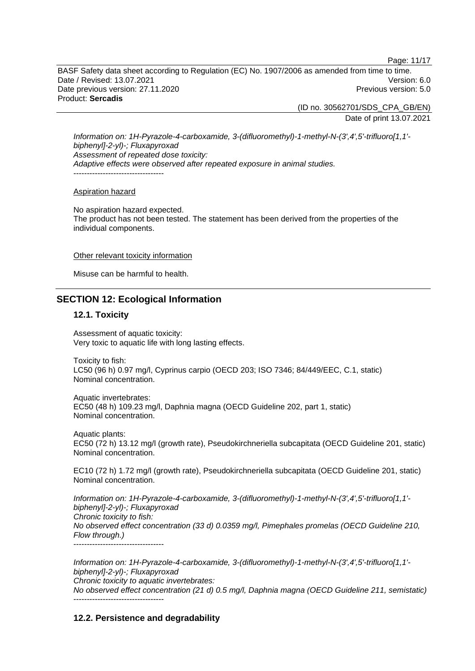Page: 11/17

BASF Safety data sheet according to Regulation (EC) No. 1907/2006 as amended from time to time. Date / Revised: 13.07.2021 Version: 6.0 Date previous version: 27.11.2020 **Previous version: 5.0** Previous version: 5.0 Product: **Sercadis** 

> (ID no. 30562701/SDS\_CPA\_GB/EN) Date of print 13.07.2021

*Information on: 1H-Pyrazole-4-carboxamide, 3-(difluoromethyl)-1-methyl-N-(3',4',5'-trifluoro[1,1' biphenyl]-2-yl)-; Fluxapyroxad Assessment of repeated dose toxicity: Adaptive effects were observed after repeated exposure in animal studies.*  -----------------------------------

### Aspiration hazard

No aspiration hazard expected. The product has not been tested. The statement has been derived from the properties of the individual components.

Other relevant toxicity information

Misuse can be harmful to health.

# **SECTION 12: Ecological Information**

# **12.1. Toxicity**

Assessment of aquatic toxicity: Very toxic to aquatic life with long lasting effects.

Toxicity to fish: LC50 (96 h) 0.97 mg/l, Cyprinus carpio (OECD 203; ISO 7346; 84/449/EEC, C.1, static) Nominal concentration.

Aquatic invertebrates: EC50 (48 h) 109.23 mg/l, Daphnia magna (OECD Guideline 202, part 1, static) Nominal concentration.

Aquatic plants: EC50 (72 h) 13.12 mg/l (growth rate), Pseudokirchneriella subcapitata (OECD Guideline 201, static) Nominal concentration.

EC10 (72 h) 1.72 mg/l (growth rate), Pseudokirchneriella subcapitata (OECD Guideline 201, static) Nominal concentration.

*Information on: 1H-Pyrazole-4-carboxamide, 3-(difluoromethyl)-1-methyl-N-(3',4',5'-trifluoro[1,1' biphenyl]-2-yl)-; Fluxapyroxad Chronic toxicity to fish: No observed effect concentration (33 d) 0.0359 mg/l, Pimephales promelas (OECD Guideline 210, Flow through.)*  -----------------------------------

*Information on: 1H-Pyrazole-4-carboxamide, 3-(difluoromethyl)-1-methyl-N-(3',4',5'-trifluoro[1,1' biphenyl]-2-yl)-; Fluxapyroxad* 

*Chronic toxicity to aquatic invertebrates:* 

*No observed effect concentration (21 d) 0.5 mg/l, Daphnia magna (OECD Guideline 211, semistatic)*  ----------------------------------

# **12.2. Persistence and degradability**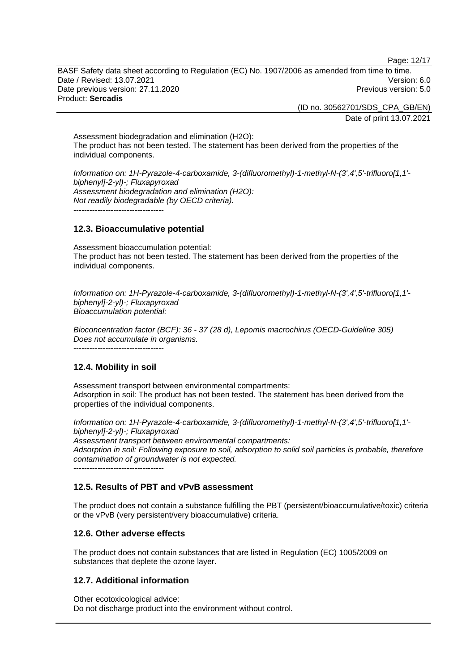Page: 12/17

BASF Safety data sheet according to Regulation (EC) No. 1907/2006 as amended from time to time. Date / Revised: 13.07.2021 Version: 6.0 Date previous version: 27.11.2020 **Previous version: 5.0** Previous version: 5.0 Product: **Sercadis** 

> (ID no. 30562701/SDS\_CPA\_GB/EN) Date of print 13.07.2021

Assessment biodegradation and elimination (H2O): The product has not been tested. The statement has been derived from the properties of the individual components.

*Information on: 1H-Pyrazole-4-carboxamide, 3-(difluoromethyl)-1-methyl-N-(3',4',5'-trifluoro[1,1' biphenyl]-2-yl)-; Fluxapyroxad Assessment biodegradation and elimination (H2O): Not readily biodegradable (by OECD criteria).*   $-$ 

# **12.3. Bioaccumulative potential**

Assessment bioaccumulation potential: The product has not been tested. The statement has been derived from the properties of the individual components.

*Information on: 1H-Pyrazole-4-carboxamide, 3-(difluoromethyl)-1-methyl-N-(3',4',5'-trifluoro[1,1' biphenyl]-2-yl)-; Fluxapyroxad Bioaccumulation potential:* 

*Bioconcentration factor (BCF): 36 - 37 (28 d), Lepomis macrochirus (OECD-Guideline 305) Does not accumulate in organisms.*   $-$ 

# **12.4. Mobility in soil**

Assessment transport between environmental compartments: Adsorption in soil: The product has not been tested. The statement has been derived from the properties of the individual components.

*Information on: 1H-Pyrazole-4-carboxamide, 3-(difluoromethyl)-1-methyl-N-(3',4',5'-trifluoro[1,1' biphenyl]-2-yl)-; Fluxapyroxad Assessment transport between environmental compartments: Adsorption in soil: Following exposure to soil, adsorption to solid soil particles is probable, therefore contamination of groundwater is not expected.* ----------------------------------

# **12.5. Results of PBT and vPvB assessment**

The product does not contain a substance fulfilling the PBT (persistent/bioaccumulative/toxic) criteria or the vPvB (very persistent/very bioaccumulative) criteria.

# **12.6. Other adverse effects**

The product does not contain substances that are listed in Regulation (EC) 1005/2009 on substances that deplete the ozone layer.

# **12.7. Additional information**

Other ecotoxicological advice: Do not discharge product into the environment without control.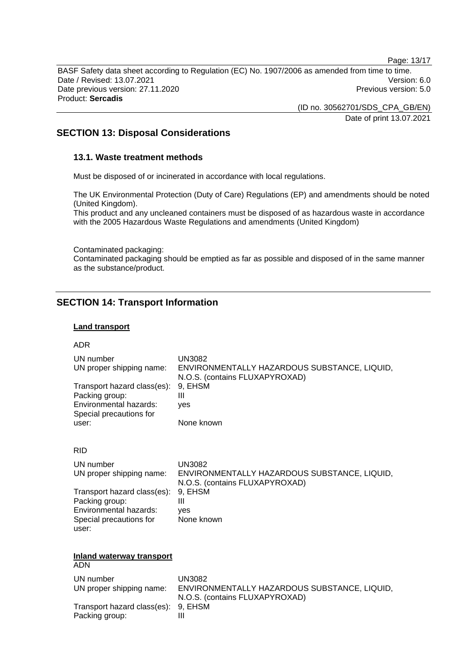Page: 13/17

BASF Safety data sheet according to Regulation (EC) No. 1907/2006 as amended from time to time. Date / Revised: 13.07.2021 Version: 6.0 Date previous version: 27.11.2020 **Previous version: 5.0** Previous version: 5.0 Product: **Sercadis** 

> (ID no. 30562701/SDS\_CPA\_GB/EN) Date of print 13.07.2021

# **SECTION 13: Disposal Considerations**

# **13.1. Waste treatment methods**

Must be disposed of or incinerated in accordance with local regulations.

The UK Environmental Protection (Duty of Care) Regulations (EP) and amendments should be noted (United Kingdom).

This product and any uncleaned containers must be disposed of as hazardous waste in accordance with the 2005 Hazardous Waste Regulations and amendments (United Kingdom)

Contaminated packaging: Contaminated packaging should be emptied as far as possible and disposed of in the same manner as the substance/product.

# **SECTION 14: Transport Information**

# **Land transport**

#### ADR

| UN number<br>UN proper shipping name:<br>Transport hazard class(es):<br>Packing group:<br>Environmental hazards:<br>Special precautions for<br>user: | <b>UN3082</b><br>ENVIRONMENTALLY HAZARDOUS SUBSTANCE, LIQUID,<br>N.O.S. (contains FLUXAPYROXAD)<br>9, EHSM<br>Ш<br>ves<br>None known |
|------------------------------------------------------------------------------------------------------------------------------------------------------|--------------------------------------------------------------------------------------------------------------------------------------|
| <b>RID</b>                                                                                                                                           |                                                                                                                                      |
| UN number<br>UN proper shipping name:<br>Transport hazard class(es):<br>Packing group:<br>Environmental hazards:<br>Special precautions for<br>user: | <b>UN3082</b><br>ENVIRONMENTALLY HAZARDOUS SUBSTANCE, LIQUID,<br>N.O.S. (contains FLUXAPYROXAD)<br>9, EHSM<br>Ш<br>ves<br>None known |
| <b>Inland waterway transport</b><br><b>ADN</b>                                                                                                       |                                                                                                                                      |
| UN number<br>UN proper shipping name:<br>Transport hazard class(es):<br>Packing group:                                                               | <b>UN3082</b><br>ENVIRONMENTALLY HAZARDOUS SUBSTANCE, LIQUID,<br>N.O.S. (contains FLUXAPYROXAD)<br>9, EHSM<br>Ш                      |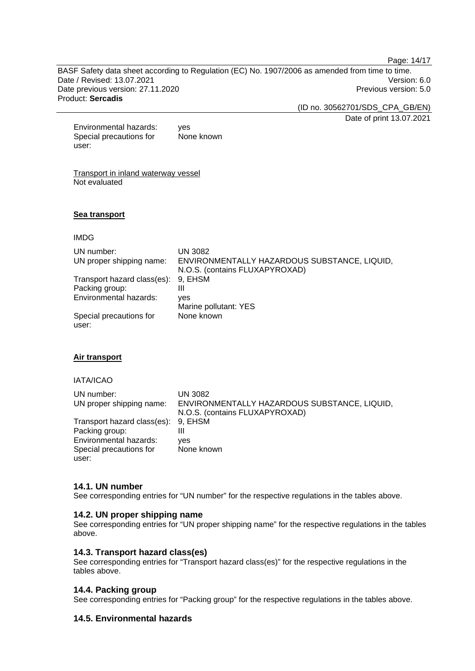Page: 14/17

BASF Safety data sheet according to Regulation (EC) No. 1907/2006 as amended from time to time. Date / Revised: 13.07.2021 Version: 6.0 Date previous version: 27.11.2020 **Previous version: 5.0** Previous version: 5.0 Product: **Sercadis** 

(ID no. 30562701/SDS\_CPA\_GB/EN)

Date of print 13.07.2021

Environmental hazards: yes Special precautions for user: None known

Transport in inland waterway vessel Not evaluated

# **Sea transport**

IMDG

| UN number:                       | <b>UN 3082</b>                               |
|----------------------------------|----------------------------------------------|
| UN proper shipping name:         | ENVIRONMENTALLY HAZARDOUS SUBSTANCE, LIQUID, |
|                                  | N.O.S. (contains FLUXAPYROXAD)               |
| Transport hazard class(es):      | 9, EHSM                                      |
| Packing group:                   | Ш                                            |
| Environmental hazards:           | ves                                          |
|                                  | Marine pollutant: YES                        |
| Special precautions for<br>user: | None known                                   |

# **Air transport**

IATA/ICAO

| UN number:                          | UN 3082                                      |
|-------------------------------------|----------------------------------------------|
| UN proper shipping name:            | ENVIRONMENTALLY HAZARDOUS SUBSTANCE, LIQUID, |
|                                     | N.O.S. (contains FLUXAPYROXAD)               |
| Transport hazard class(es): 9, EHSM |                                              |
| Packing group:                      | Ш                                            |
| Environmental hazards:              | ves                                          |
| Special precautions for             | None known                                   |
| user:                               |                                              |

### **14.1. UN number**

See corresponding entries for "UN number" for the respective regulations in the tables above.

#### **14.2. UN proper shipping name**

See corresponding entries for "UN proper shipping name" for the respective regulations in the tables above.

#### **14.3. Transport hazard class(es)**

See corresponding entries for "Transport hazard class(es)" for the respective regulations in the tables above.

### **14.4. Packing group**

See corresponding entries for "Packing group" for the respective regulations in the tables above.

# **14.5. Environmental hazards**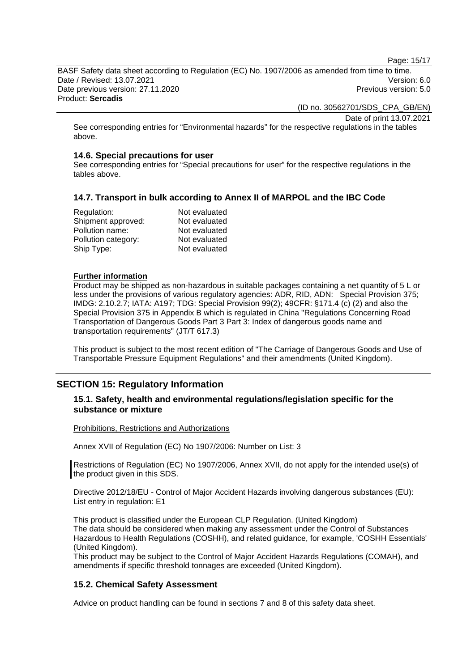Page: 15/17

BASF Safety data sheet according to Regulation (EC) No. 1907/2006 as amended from time to time. Date / Revised: 13.07.2021 Version: 6.0 Date previous version: 27.11.2020 **Previous version: 5.0** Previous version: 5.0

Product: **Sercadis** 

(ID no. 30562701/SDS\_CPA\_GB/EN)

Date of print 13.07.2021

See corresponding entries for "Environmental hazards" for the respective regulations in the tables above.

### **14.6. Special precautions for user**

See corresponding entries for "Special precautions for user" for the respective regulations in the tables above.

# **14.7. Transport in bulk according to Annex II of MARPOL and the IBC Code**

| Regulation:         | Not evaluated |
|---------------------|---------------|
| Shipment approved:  | Not evaluated |
| Pollution name:     | Not evaluated |
| Pollution category: | Not evaluated |
| Ship Type:          | Not evaluated |

### **Further information**

Product may be shipped as non-hazardous in suitable packages containing a net quantity of 5 L or less under the provisions of various regulatory agencies: ADR, RID, ADN: Special Provision 375; IMDG: 2.10.2.7; IATA: A197; TDG: Special Provision 99(2); 49CFR: §171.4 (c) (2) and also the Special Provision 375 in Appendix B which is regulated in China "Regulations Concerning Road Transportation of Dangerous Goods Part 3 Part 3: Index of dangerous goods name and transportation requirements" (JT/T 617.3)

This product is subject to the most recent edition of "The Carriage of Dangerous Goods and Use of Transportable Pressure Equipment Regulations" and their amendments (United Kingdom).

# **SECTION 15: Regulatory Information**

# **15.1. Safety, health and environmental regulations/legislation specific for the substance or mixture**

#### Prohibitions, Restrictions and Authorizations

Annex XVII of Regulation (EC) No 1907/2006: Number on List: 3

Restrictions of Regulation (EC) No 1907/2006, Annex XVII, do not apply for the intended use(s) of the product given in this SDS.

Directive 2012/18/EU - Control of Major Accident Hazards involving dangerous substances (EU): List entry in regulation: E1

This product is classified under the European CLP Regulation. (United Kingdom) The data should be considered when making any assessment under the Control of Substances Hazardous to Health Regulations (COSHH), and related guidance, for example, 'COSHH Essentials' (United Kingdom).

This product may be subject to the Control of Major Accident Hazards Regulations (COMAH), and amendments if specific threshold tonnages are exceeded (United Kingdom).

# **15.2. Chemical Safety Assessment**

Advice on product handling can be found in sections 7 and 8 of this safety data sheet.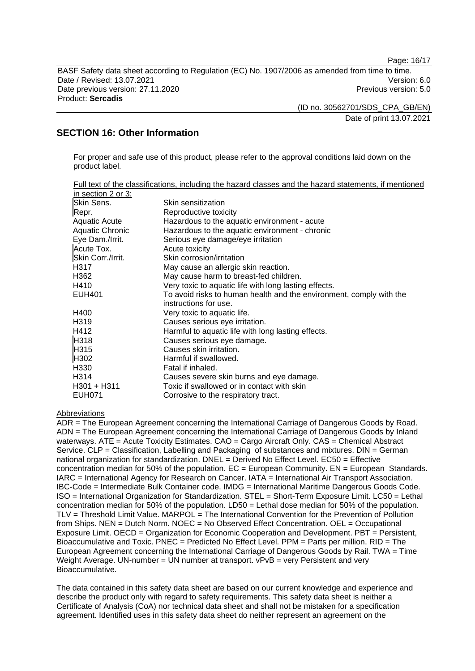Page: 16/17

BASF Safety data sheet according to Regulation (EC) No. 1907/2006 as amended from time to time. Date / Revised: 13.07.2021 Version: 6.0 Date previous version: 27.11.2020 **Previous version: 5.0** Previous version: 5.0 Product: **Sercadis** 

(ID no. 30562701/SDS\_CPA\_GB/EN)

Date of print 13.07.2021

# **SECTION 16: Other Information**

For proper and safe use of this product, please refer to the approval conditions laid down on the product label.

| in section 2 or 3:   | Full text of the classifications, including the hazard classes and the hazard statements, if mentioned |
|----------------------|--------------------------------------------------------------------------------------------------------|
| Skin Sens.           | Skin sensitization                                                                                     |
| Repr.                | Reproductive toxicity                                                                                  |
| <b>Aquatic Acute</b> | Hazardous to the aquatic environment - acute                                                           |
| Aquatic Chronic      | Hazardous to the aquatic environment - chronic                                                         |
| Eye Dam./Irrit.      | Serious eye damage/eye irritation                                                                      |
| Acute Tox.           | Acute toxicity                                                                                         |
| Skin Corr./Irrit.    | Skin corrosion/irritation                                                                              |
| H317                 | May cause an allergic skin reaction.                                                                   |
| H362                 | May cause harm to breast-fed children.                                                                 |
| H410                 | Very toxic to aquatic life with long lasting effects.                                                  |
| <b>EUH401</b>        | To avoid risks to human health and the environment, comply with the                                    |
|                      | instructions for use.                                                                                  |
| H400                 | Very toxic to aquatic life.                                                                            |
| H <sub>3</sub> 19    | Causes serious eye irritation.                                                                         |
| H412                 | Harmful to aquatic life with long lasting effects.                                                     |
| H318                 | Causes serious eye damage.                                                                             |
| H315                 | Causes skin irritation.                                                                                |
| H <sub>302</sub>     | Harmful if swallowed.                                                                                  |
| H330                 | Fatal if inhaled.                                                                                      |
| H314                 | Causes severe skin burns and eye damage.                                                               |
| $H301 + H311$        | Toxic if swallowed or in contact with skin                                                             |
| <b>EUH071</b>        | Corrosive to the respiratory tract.                                                                    |

#### Abbreviations

ADR = The European Agreement concerning the International Carriage of Dangerous Goods by Road. ADN = The European Agreement concerning the International Carriage of Dangerous Goods by Inland waterways. ATE = Acute Toxicity Estimates. CAO = Cargo Aircraft Only. CAS = Chemical Abstract Service. CLP = Classification, Labelling and Packaging of substances and mixtures. DIN = German national organization for standardization. DNEL = Derived No Effect Level. EC50 = Effective concentration median for 50% of the population.  $EC = European Community$ .  $EN = European StandardS$ . IARC = International Agency for Research on Cancer. IATA = International Air Transport Association. IBC-Code = Intermediate Bulk Container code. IMDG = International Maritime Dangerous Goods Code. ISO = International Organization for Standardization. STEL = Short-Term Exposure Limit. LC50 = Lethal concentration median for 50% of the population. LD50 = Lethal dose median for 50% of the population. TLV = Threshold Limit Value. MARPOL = The International Convention for the Prevention of Pollution from Ships. NEN = Dutch Norm. NOEC = No Observed Effect Concentration. OEL = Occupational Exposure Limit. OECD = Organization for Economic Cooperation and Development. PBT = Persistent, Bioaccumulative and Toxic. PNEC = Predicted No Effect Level. PPM = Parts per million. RID = The European Agreement concerning the International Carriage of Dangerous Goods by Rail. TWA = Time Weight Average. UN-number = UN number at transport. vPvB = very Persistent and very Bioaccumulative.

The data contained in this safety data sheet are based on our current knowledge and experience and describe the product only with regard to safety requirements. This safety data sheet is neither a Certificate of Analysis (CoA) nor technical data sheet and shall not be mistaken for a specification agreement. Identified uses in this safety data sheet do neither represent an agreement on the